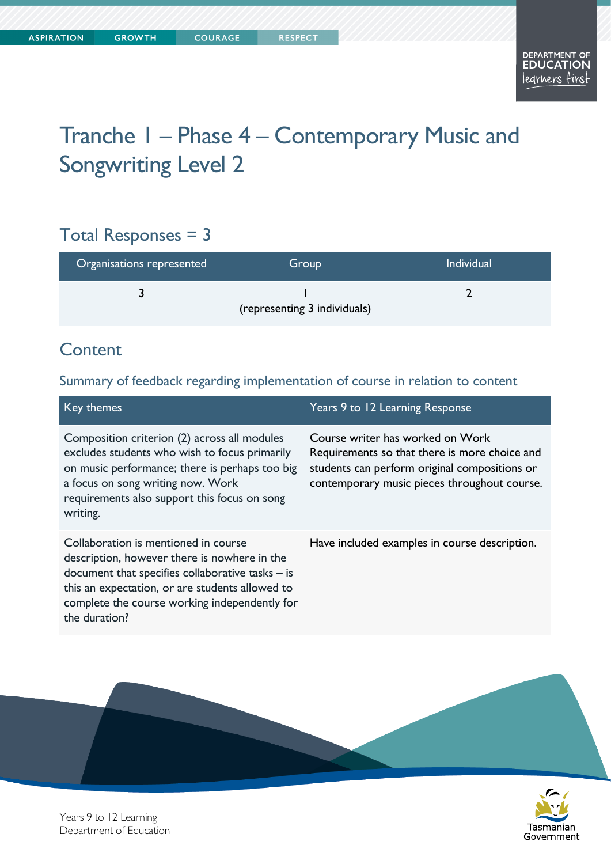# Tranche 1 – Phase 4 – Contemporary Music and Songwriting Level 2

## Total Responses = 3

| Organisations represented | Group                        | <b>Individual</b> |
|---------------------------|------------------------------|-------------------|
|                           | (representing 3 individuals) |                   |

#### **Content**

#### Summary of feedback regarding implementation of course in relation to content

| Key themes                                                                                                                                                                                                                                                      | Years 9 to 12 Learning Response                                                                                                                                                    |
|-----------------------------------------------------------------------------------------------------------------------------------------------------------------------------------------------------------------------------------------------------------------|------------------------------------------------------------------------------------------------------------------------------------------------------------------------------------|
| Composition criterion (2) across all modules<br>excludes students who wish to focus primarily<br>on music performance; there is perhaps too big<br>a focus on song writing now. Work<br>requirements also support this focus on song<br>writing.                | Course writer has worked on Work<br>Requirements so that there is more choice and<br>students can perform original compositions or<br>contemporary music pieces throughout course. |
| Collaboration is mentioned in course<br>description, however there is nowhere in the<br>document that specifies collaborative tasks $-$ is<br>this an expectation, or are students allowed to<br>complete the course working independently for<br>the duration? | Have included examples in course description.                                                                                                                                      |



Years 9 to 12 Learning Department of Education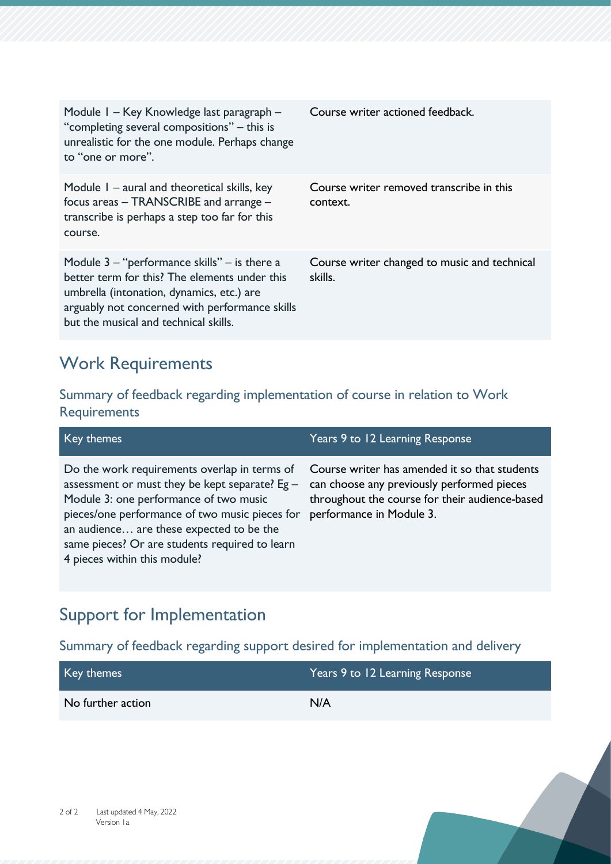| Module I – Key Knowledge last paragraph –<br>"completing several compositions" – this is<br>unrealistic for the one module. Perhaps change<br>to "one or more".                                                                           | Course writer actioned feedback.                        |
|-------------------------------------------------------------------------------------------------------------------------------------------------------------------------------------------------------------------------------------------|---------------------------------------------------------|
| Module I – aural and theoretical skills, key<br>focus areas - TRANSCRIBE and arrange -<br>transcribe is perhaps a step too far for this<br>course.                                                                                        | Course writer removed transcribe in this<br>context.    |
| Module $3 -$ "performance skills" $-$ is there a<br>better term for this? The elements under this<br>umbrella (intonation, dynamics, etc.) are<br>arguably not concerned with performance skills<br>but the musical and technical skills. | Course writer changed to music and technical<br>skills. |

### Work Requirements

Summary of feedback regarding implementation of course in relation to Work Requirements

| Key themes                                                                                                                                                                                                                                                                                                               | Years 9 to 12 Learning Response                                                                                                                                           |
|--------------------------------------------------------------------------------------------------------------------------------------------------------------------------------------------------------------------------------------------------------------------------------------------------------------------------|---------------------------------------------------------------------------------------------------------------------------------------------------------------------------|
| Do the work requirements overlap in terms of<br>assessment or must they be kept separate? Eg -<br>Module 3: one performance of two music<br>pieces/one performance of two music pieces for<br>an audience are these expected to be the<br>same pieces? Or are students required to learn<br>4 pieces within this module? | Course writer has amended it so that students<br>can choose any previously performed pieces<br>throughout the course for their audience-based<br>performance in Module 3. |

# Support for Implementation

Summary of feedback regarding support desired for implementation and delivery

| Key themes        | Years 9 to 12 Learning Response |
|-------------------|---------------------------------|
| No further action | N/A                             |